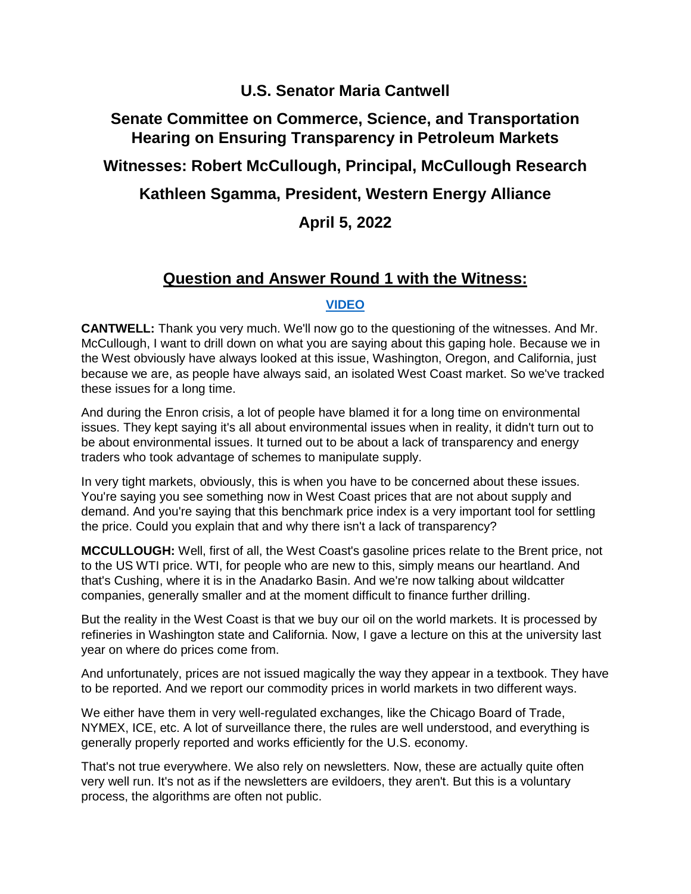# **U.S. Senator Maria Cantwell**

# **Senate Committee on Commerce, Science, and Transportation Hearing on Ensuring Transparency in Petroleum Markets**

# **Witnesses: Robert McCullough, Principal, McCullough Research**

# **Kathleen Sgamma, President, Western Energy Alliance**

# **April 5, 2022**

# **Question and Answer Round 1 with the Witness:**

#### **[VIDEO](https://youtu.be/4nL02Zf8XyY)**

**CANTWELL:** Thank you very much. We'll now go to the questioning of the witnesses. And Mr. McCullough, I want to drill down on what you are saying about this gaping hole. Because we in the West obviously have always looked at this issue, Washington, Oregon, and California, just because we are, as people have always said, an isolated West Coast market. So we've tracked these issues for a long time.

And during the Enron crisis, a lot of people have blamed it for a long time on environmental issues. They kept saying it's all about environmental issues when in reality, it didn't turn out to be about environmental issues. It turned out to be about a lack of transparency and energy traders who took advantage of schemes to manipulate supply.

In very tight markets, obviously, this is when you have to be concerned about these issues. You're saying you see something now in West Coast prices that are not about supply and demand. And you're saying that this benchmark price index is a very important tool for settling the price. Could you explain that and why there isn't a lack of transparency?

**MCCULLOUGH:** Well, first of all, the West Coast's gasoline prices relate to the Brent price, not to the US WTI price. WTI, for people who are new to this, simply means our heartland. And that's Cushing, where it is in the Anadarko Basin. And we're now talking about wildcatter companies, generally smaller and at the moment difficult to finance further drilling.

But the reality in the West Coast is that we buy our oil on the world markets. It is processed by refineries in Washington state and California. Now, I gave a lecture on this at the university last year on where do prices come from.

And unfortunately, prices are not issued magically the way they appear in a textbook. They have to be reported. And we report our commodity prices in world markets in two different ways.

We either have them in very well-regulated exchanges, like the Chicago Board of Trade, NYMEX, ICE, etc. A lot of surveillance there, the rules are well understood, and everything is generally properly reported and works efficiently for the U.S. economy.

That's not true everywhere. We also rely on newsletters. Now, these are actually quite often very well run. It's not as if the newsletters are evildoers, they aren't. But this is a voluntary process, the algorithms are often not public.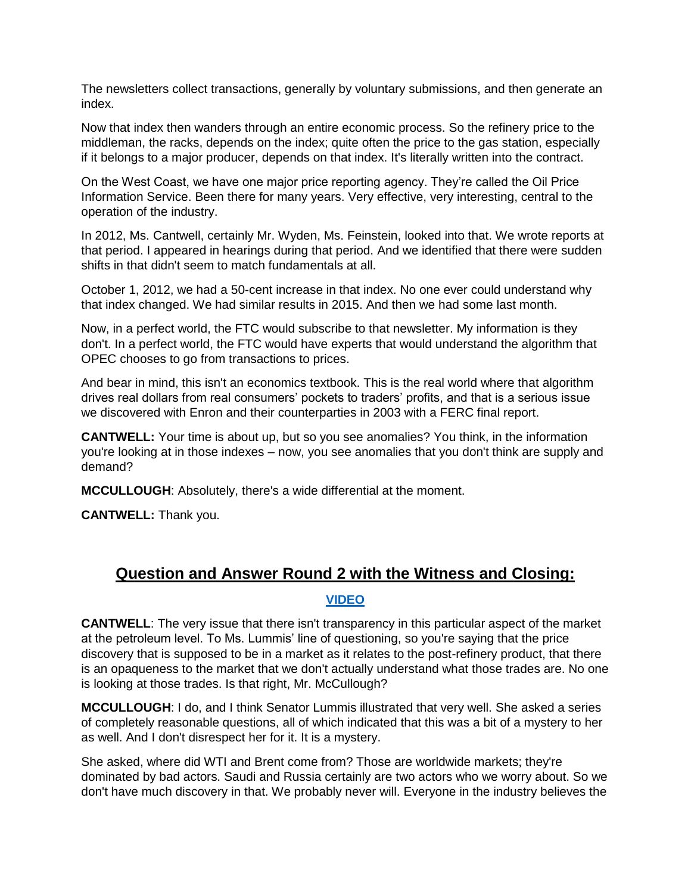The newsletters collect transactions, generally by voluntary submissions, and then generate an index.

Now that index then wanders through an entire economic process. So the refinery price to the middleman, the racks, depends on the index; quite often the price to the gas station, especially if it belongs to a major producer, depends on that index. It's literally written into the contract.

On the West Coast, we have one major price reporting agency. They're called the Oil Price Information Service. Been there for many years. Very effective, very interesting, central to the operation of the industry.

In 2012, Ms. Cantwell, certainly Mr. Wyden, Ms. Feinstein, looked into that. We wrote reports at that period. I appeared in hearings during that period. And we identified that there were sudden shifts in that didn't seem to match fundamentals at all.

October 1, 2012, we had a 50-cent increase in that index. No one ever could understand why that index changed. We had similar results in 2015. And then we had some last month.

Now, in a perfect world, the FTC would subscribe to that newsletter. My information is they don't. In a perfect world, the FTC would have experts that would understand the algorithm that OPEC chooses to go from transactions to prices.

And bear in mind, this isn't an economics textbook. This is the real world where that algorithm drives real dollars from real consumers' pockets to traders' profits, and that is a serious issue we discovered with Enron and their counterparties in 2003 with a FERC final report.

**CANTWELL:** Your time is about up, but so you see anomalies? You think, in the information you're looking at in those indexes – now, you see anomalies that you don't think are supply and demand?

**MCCULLOUGH**: Absolutely, there's a wide differential at the moment.

**CANTWELL:** Thank you.

#### **Question and Answer Round 2 with the Witness and Closing:**

#### **[VIDEO](https://youtu.be/CfUj_RCyXNM)**

**CANTWELL**: The very issue that there isn't transparency in this particular aspect of the market at the petroleum level. To Ms. Lummis' line of questioning, so you're saying that the price discovery that is supposed to be in a market as it relates to the post-refinery product, that there is an opaqueness to the market that we don't actually understand what those trades are. No one is looking at those trades. Is that right, Mr. McCullough?

**MCCULLOUGH**: I do, and I think Senator Lummis illustrated that very well. She asked a series of completely reasonable questions, all of which indicated that this was a bit of a mystery to her as well. And I don't disrespect her for it. It is a mystery.

She asked, where did WTI and Brent come from? Those are worldwide markets; they're dominated by bad actors. Saudi and Russia certainly are two actors who we worry about. So we don't have much discovery in that. We probably never will. Everyone in the industry believes the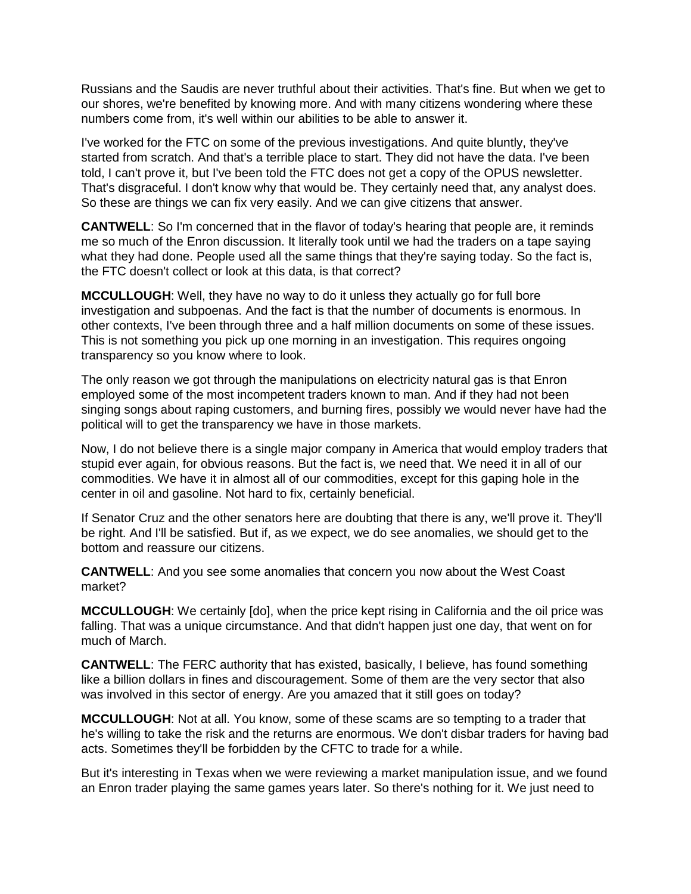Russians and the Saudis are never truthful about their activities. That's fine. But when we get to our shores, we're benefited by knowing more. And with many citizens wondering where these numbers come from, it's well within our abilities to be able to answer it.

I've worked for the FTC on some of the previous investigations. And quite bluntly, they've started from scratch. And that's a terrible place to start. They did not have the data. I've been told, I can't prove it, but I've been told the FTC does not get a copy of the OPUS newsletter. That's disgraceful. I don't know why that would be. They certainly need that, any analyst does. So these are things we can fix very easily. And we can give citizens that answer.

**CANTWELL**: So I'm concerned that in the flavor of today's hearing that people are, it reminds me so much of the Enron discussion. It literally took until we had the traders on a tape saying what they had done. People used all the same things that they're saying today. So the fact is, the FTC doesn't collect or look at this data, is that correct?

**MCCULLOUGH**: Well, they have no way to do it unless they actually go for full bore investigation and subpoenas. And the fact is that the number of documents is enormous. In other contexts, I've been through three and a half million documents on some of these issues. This is not something you pick up one morning in an investigation. This requires ongoing transparency so you know where to look.

The only reason we got through the manipulations on electricity natural gas is that Enron employed some of the most incompetent traders known to man. And if they had not been singing songs about raping customers, and burning fires, possibly we would never have had the political will to get the transparency we have in those markets.

Now, I do not believe there is a single major company in America that would employ traders that stupid ever again, for obvious reasons. But the fact is, we need that. We need it in all of our commodities. We have it in almost all of our commodities, except for this gaping hole in the center in oil and gasoline. Not hard to fix, certainly beneficial.

If Senator Cruz and the other senators here are doubting that there is any, we'll prove it. They'll be right. And I'll be satisfied. But if, as we expect, we do see anomalies, we should get to the bottom and reassure our citizens.

**CANTWELL**: And you see some anomalies that concern you now about the West Coast market?

**MCCULLOUGH**: We certainly [do], when the price kept rising in California and the oil price was falling. That was a unique circumstance. And that didn't happen just one day, that went on for much of March.

**CANTWELL**: The FERC authority that has existed, basically, I believe, has found something like a billion dollars in fines and discouragement. Some of them are the very sector that also was involved in this sector of energy. Are you amazed that it still goes on today?

**MCCULLOUGH**: Not at all. You know, some of these scams are so tempting to a trader that he's willing to take the risk and the returns are enormous. We don't disbar traders for having bad acts. Sometimes they'll be forbidden by the CFTC to trade for a while.

But it's interesting in Texas when we were reviewing a market manipulation issue, and we found an Enron trader playing the same games years later. So there's nothing for it. We just need to